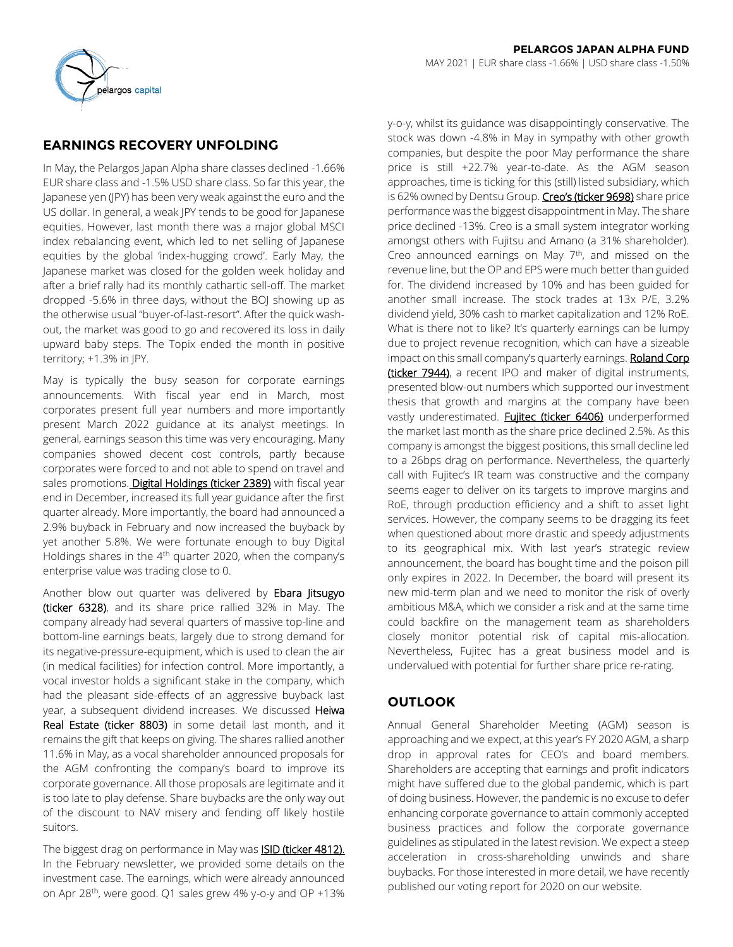

# **EARNINGS RECOVERY UNFOLDING**

In May, the Pelargos Japan Alpha share classes declined -1.66% EUR share class and -1.5% USD share class. So far this year, the Japanese yen (JPY) has been very weak against the euro and the US dollar. In general, a weak JPY tends to be good for Japanese equities. However, last month there was a major global MSCI index rebalancing event, which led to net selling of Japanese equities by the global 'index-hugging crowd'. Early May, the Japanese market was closed for the golden week holiday and after a brief rally had its monthly cathartic sell-off. The market dropped -5.6% in three days, without the BOJ showing up as the otherwise usual "buyer-of-last-resort". After the quick washout, the market was good to go and recovered its loss in daily upward baby steps. The Topix ended the month in positive territory; +1.3% in JPY.

May is typically the busy season for corporate earnings announcements. With fiscal year end in March, most corporates present full year numbers and more importantly present March 2022 guidance at its analyst meetings. In general, earnings season this time was very encouraging. Many companies showed decent cost controls, partly because corporates were forced to and not able to spend on travel and sales promotions. Digital Holdings (ticker 2389) with fiscal year end in December, increased its full year guidance after the first quarter already. More importantly, the board had announced a 2.9% buyback in February and now increased the buyback by yet another 5.8%. We were fortunate enough to buy Digital Holdings shares in the 4th quarter 2020, when the company's enterprise value was trading close to 0.

Another blow out quarter was delivered by Ebara Jitsugyo (ticker 6328), and its share price rallied 32% in May. The company already had several quarters of massive top-line and bottom-line earnings beats, largely due to strong demand for its negative-pressure-equipment, which is used to clean the air (in medical facilities) for infection control. More importantly, a vocal investor holds a significant stake in the company, which had the pleasant side-effects of an aggressive buyback last year, a subsequent dividend increases. We discussed Heiwa Real Estate (ticker 8803) in some detail last month, and it remains the gift that keeps on giving. The shares rallied another 11.6% in May, as a vocal shareholder announced proposals for the AGM confronting the company's board to improve its corporate governance. All those proposals are legitimate and it is too late to play defense. Share buybacks are the only way out of the discount to NAV misery and fending off likely hostile suitors.

The biggest drag on performance in May was **ISID (ticker 4812).** In the February newsletter, we provided some details on the investment case. The earnings, which were already announced on Apr 28th, were good. Q1 sales grew 4% y-o-y and OP +13% y-o-y, whilst its guidance was disappointingly conservative. The stock was down -4.8% in May in sympathy with other growth companies, but despite the poor May performance the share price is still +22.7% year-to-date. As the AGM season approaches, time is ticking for this (still) listed subsidiary, which is 62% owned by Dentsu Group. Creo's (ticker 9698) share price performance was the biggest disappointment in May. The share price declined -13%. Creo is a small system integrator working amongst others with Fujitsu and Amano (a 31% shareholder). Creo announced earnings on May  $7<sup>th</sup>$ , and missed on the revenue line, but the OP and EPS were much better than guided for. The dividend increased by 10% and has been guided for another small increase. The stock trades at 13x P/E, 3.2% dividend yield, 30% cash to market capitalization and 12% RoE. What is there not to like? It's quarterly earnings can be lumpy due to project revenue recognition, which can have a sizeable impact on this small company's quarterly earnings. Roland Corp (ticker 7944), a recent IPO and maker of digital instruments, presented blow-out numbers which supported our investment thesis that growth and margins at the company have been vastly underestimated. Fuiltec (ticker 6406) underperformed the market last month as the share price declined 2.5%. As this company is amongst the biggest positions, this small decline led to a 26bps drag on performance. Nevertheless, the quarterly call with Fujitec's IR team was constructive and the company seems eager to deliver on its targets to improve margins and RoE, through production efficiency and a shift to asset light services. However, the company seems to be dragging its feet when questioned about more drastic and speedy adjustments to its geographical mix. With last year's strategic review announcement, the board has bought time and the poison pill only expires in 2022. In December, the board will present its new mid-term plan and we need to monitor the risk of overly ambitious M&A, which we consider a risk and at the same time could backfire on the management team as shareholders closely monitor potential risk of capital mis-allocation. Nevertheless, Fujitec has a great business model and is undervalued with potential for further share price re-rating.

## **OUTLOOK**

Annual General Shareholder Meeting (AGM) season is approaching and we expect, at this year's FY 2020 AGM, a sharp drop in approval rates for CEO's and board members. Shareholders are accepting that earnings and profit indicators might have suffered due to the global pandemic, which is part of doing business. However, the pandemic is no excuse to defer enhancing corporate governance to attain commonly accepted business practices and follow the corporate governance guidelines as stipulated in the latest revision. We expect a steep acceleration in cross-shareholding unwinds and share buybacks. For those interested in more detail, we have recently published our voting report for 2020 on our website.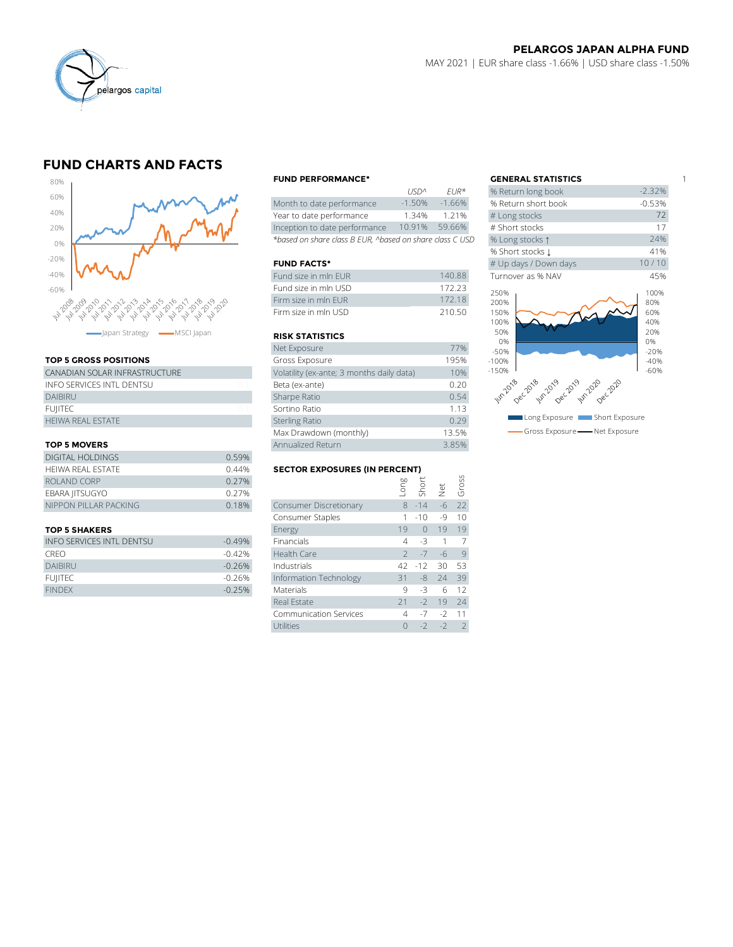

## **FUND CHARTS AND FACTS**



### **TOP 5 GROSS POSITIONS**

| 1 1 1 1 1 1 1 1 1 1 1 1 1 1   |    |                       |
|-------------------------------|----|-----------------------|
| -apan Strategy - MSCI Japan   |    | <b>RISK STATIS</b>    |
|                               |    | Net Exposure          |
| <b>TOP 5 GROSS POSITIONS</b>  |    | Gross Exposu          |
| CANADIAN SOLAR INFRASTRUCTURE |    | Volatility (ex-ar     |
| INFO SERVICES INTL DENTSU     | 01 | Beta (ex-ante)        |
| <b>DAIBIRU</b>                |    | Sharpe Ratio          |
| <b>FUJITEC</b>                | 01 | Sortino Ratio         |
| <b>HEIWA REAL ESTATE</b>      |    | <b>Sterling Ratio</b> |
|                               |    | Max Drawdow           |
|                               |    |                       |

### **TOP 5 MOVERS**

|                          |                   | Max Drawdown (monthly)               |       | 13.5%         |                      |       |
|--------------------------|-------------------|--------------------------------------|-------|---------------|----------------------|-------|
| <b>TOP 5 MOVERS</b>      | Annualized Return |                                      | 3.85% |               |                      |       |
| <b>DIGITAL HOLDINGS</b>  | 0.59%             |                                      |       |               |                      |       |
| <b>HEIWA REAL ESTATE</b> | 0.44%             | <b>SECTOR EXPOSURES (IN PERCENT)</b> |       |               |                      |       |
| ROLAND CORP              | 0.27%             |                                      |       |               |                      | Gross |
| EBARA   ITSUGYO          | 0.27%             |                                      |       | Long<br>Short | $\frac{1}{\sqrt{2}}$ |       |
| NIPPON PILLAR PACKING    | 0.18%             | Consumer Discretionary               |       | $8 - 14$      | -6                   | 22    |
|                          |                   | Consumer Staples                     |       | $-10$         | $-Q$                 | 10    |
|                          |                   |                                      |       |               |                      |       |

| INFO SERVICES INTL DENTSU | $-0.49%$ | Financials             | 4 | $-3$            |            |      |
|---------------------------|----------|------------------------|---|-----------------|------------|------|
| <b>CREO</b>               | $-0.42%$ | Health Care            |   | $2 - 7$         | -6         | -9   |
| <b>DAIBIRU</b>            | $-0.26%$ | Industrials            |   | $42 - 12$ 30 53 |            |      |
| <b>FUIITEC</b>            | $-0.26%$ | Information Technology |   |                 | $-8$ 24 39 |      |
| <b>FINDEX</b>             | $-0.25%$ | Materials              |   | $-3$            |            | 6 12 |
|                           |          |                        |   |                 |            |      |

|                                                           | 7757)A    | $FIR*$           | % Return long book  | -2.32%   |
|-----------------------------------------------------------|-----------|------------------|---------------------|----------|
| Month to date performance                                 | $-1.50\%$ | $-1.66%$         | % Return short book | $-0.53%$ |
| Year to date performance                                  | 1.34%     | 1.21%            | # Long stocks       |          |
| Inception to date performance                             |           | 10.91% 59.66%    | # Short stocks      |          |
| *hased on share class B EUR. Abased on share class C USD. |           | % I ong stocks 1 | 24%                 |          |

| Fund size in mln EUR | 140.88 | Turnover as % NAV | 45%  |
|----------------------|--------|-------------------|------|
| Fund size in mln USD | 172 23 | 250%              | 100% |
| Firm size in mln FUR | 172.18 | 200%              | 80%  |
| Firm size in mln USD | 210.50 | 150%              | 60%  |

### **RISK STATISTICS**

| Net Exposure                              | 77%   |
|-------------------------------------------|-------|
| Gross Exposure                            | 195%  |
| Volatility (ex-ante; 3 months daily data) | 10%   |
| Beta (ex-ante)                            | 0.20  |
| Sharpe Ratio                              | 0.54  |
| Sortino Ratio                             | 1.13  |
| <b>Sterling Ratio</b>                     | 0.29  |
| Max Drawdown (monthly)                    | 13.5% |
| Annualized Return                         | 3.85% |

### **SECTOR EXPOSURES (IN PERCENT)**

| <b>TOP 5 MOVERS</b>              | Annualized Return<br>3.85% |                                      |          |          |      |                |  |
|----------------------------------|----------------------------|--------------------------------------|----------|----------|------|----------------|--|
| DIGITAL HOLDINGS                 | 0.59%                      |                                      |          |          |      |                |  |
| HEIWA REAL ESTATE                | 0.44%                      | <b>SECTOR EXPOSURES (IN PERCENT)</b> |          |          |      |                |  |
| ROLAND CORP                      | 0.27%                      |                                      | suo-     | Short    |      | Gross          |  |
| EBARA   ITSUGYO                  | 0.27%                      |                                      |          |          | ă    |                |  |
| NIPPON PILLAR PACKING            | 0.18%                      | Consumer Discretionary               |          | $8 - 14$ | $-6$ | 22             |  |
|                                  |                            | Consumer Staples                     |          | $-10$    | $-9$ | 10             |  |
| <b>TOP 5 SHAKERS</b>             |                            | Energy                               | 19       | $\Omega$ | 19   | 19             |  |
| <b>INFO SERVICES INTL DENTSU</b> | $-0.49%$                   | <b>Financials</b>                    | 4        | $-3$     |      | $\overline{7}$ |  |
| <b>CREO</b>                      | $-0.42%$                   | <b>Health Care</b>                   |          | $-7$     | $-6$ | 9              |  |
| <b>DAIBIRU</b>                   | $-0.26%$                   | Industrials                          | 42       | $-12$    | 30   | 53             |  |
| <b>FUIITEC</b>                   | $-0.26%$                   | Information Technology               | 31       | $-8$     | 24   | 39             |  |
| <b>FINDEX</b>                    | $-0.25%$                   | <b>Materials</b>                     | 9        | $-3$     | 6    | 12             |  |
|                                  |                            | Real Estate                          | 21       | $-2$     | 19   | 24             |  |
|                                  |                            | <b>Communication Services</b>        | 4        | $-7$     | $-2$ | 11             |  |
|                                  |                            | Utilities                            | $\Omega$ | $-2$     | $-2$ | 2              |  |
|                                  |                            |                                      |          |          |      |                |  |